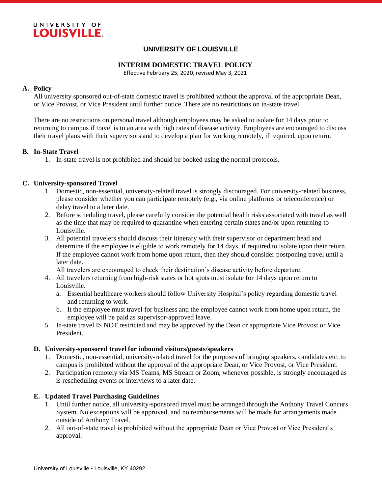

## **UNIVERSITY OF LOUISVILLE**

### **INTERIM DOMESTIC TRAVEL POLICY**

Effective February 25, 2020, revised May 3, 2021

### **A. Policy**

All university sponsored out-of-state domestic travel is prohibited without the approval of the appropriate Dean, or Vice Provost, or Vice President until further notice. There are no restrictions on in-state travel.

There are no restrictions on personal travel although employees may be asked to isolate for 14 days prior to returning to campus if travel is to an area with high rates of disease activity. Employees are encouraged to discuss their travel plans with their supervisors and to develop a plan for working remotely, if required, upon return.

## **B. In-State Travel**

1. In-state travel is not prohibited and should be booked using the normal protocols.

## **C. University-sponsored Travel**

- 1. Domestic, non-essential, university-related travel is strongly discouraged. For university-related business, please consider whether you can participate remotely (e.g., via online platforms or teleconference) or delay travel to a later date.
- 2. Before scheduling travel, please carefully consider the potential health risks associated with travel as well as the time that may be required to quarantine when entering certain states and/or upon returning to Louisville.
- 3. All potential travelers should discuss their itinerary with their supervisor or department head and determine if the employee is eligible to work remotely for 14 days, if required to isolate upon their return. If the employee cannot work from home upon return, then they should consider postponing travel until a later date.

All travelers are encouraged to check their destination's disease activity before departure.

- 4. All travelers returning from high-risk states or hot spots must isolate for 14 days upon return to Louisville.
	- a. Essential healthcare workers should follow University Hospital's policy regarding domestic travel and returning to work.
	- b. It the employee must travel for business and the employee cannot work from home upon return, the employee will be paid as supervisor-approved leave.
- 5. In-state travel IS NOT restricted and may be approved by the Dean or appropriate Vice Provost or Vice President.

#### **D. University-sponsored travel for inbound visitors/guests/speakers**

- 1. Domestic, non-essential, university-related travel for the purposes of bringing speakers, candidates etc. to campus is prohibited without the approval of the appropriate Dean, or Vice Provost, or Vice President.
- 2. Participation remotely via MS Teams, MS Stream or Zoom, whenever possible, is strongly encouraged as is rescheduling events or interviews to a later date.

## **E. Updated Travel Purchasing Guidelines**

- 1. Until further notice, all university-sponsored travel must be arranged through the Anthony Travel Concurs System. No exceptions will be approved, and no reimbursements will be made for arrangements made outside of Anthony Travel.
- 2. All out-of-state travel is prohibited without the appropriate Dean or Vice Provost or Vice President's approval.